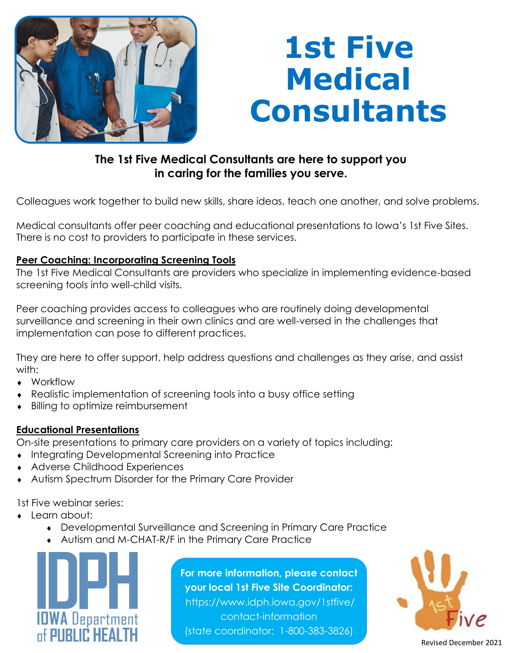

# **1st Five Medical Consultants**

### **The 1st Five Medical Consultants are here to support you in caring for the families you serve.**

Colleagues work together to build new skills, share ideas, teach one another, and solve problems.

Medical consultants offer peer coaching and educational presentations to Iowa's 1st Five Sites. There is no cost to providers to participate in these services.

### **Peer Coaching: Incorporating Screening Tools**

The 1st Five Medical Consultants are providers who specialize in implementing evidence-based screening tools into well-child visits.

Peer coaching provides access to colleagues who are routinely doing developmental surveillance and screening in their own clinics and are well-versed in the challenges that implementation can pose to different practices.

They are here to offer support, help address questions and challenges as they arise, and assist with:

- Workflow
- Realistic implementation of screening tools into a busy office setting
- Billing to optimize reimbursement

### **Educational Presentations**

On-site presentations to primary care providers on a variety of topics including:

- $\bullet$  Integrating Developmental Screening into Practice
- Adverse Childhood Experiences
- Autism Spectrum Disorder for the Primary Care Provider

1st Five webinar series:

- Learn about:
	- Developmental Surveillance and Screening in Primary Care Practice
	- Autism and M-CHAT-R/F in the Primary Care Practice



**For more information, please contact your local 1st Five Site Coordinator:**  https://www.idph.iowa.gov/1stfive/ contact-information (state coordinator: 1-800-383-3826)



Revised December 2021